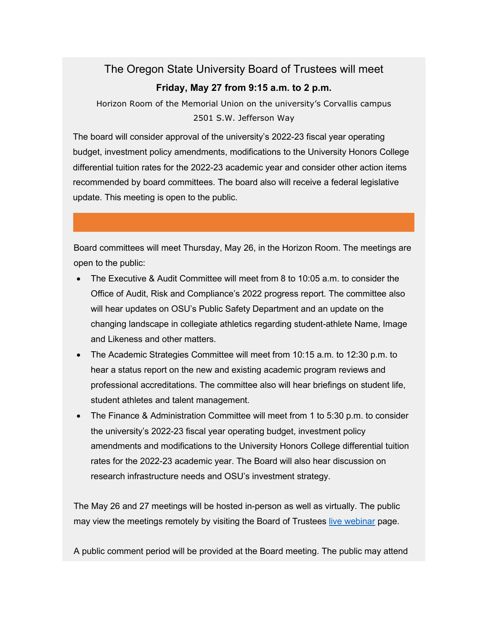## The Oregon State University Board of Trustees will meet **Friday, May 27 from 9:15 a.m. to 2 p.m.**

Horizon Room of the Memorial Union on the university's Corvallis campus 2501 S.W. Jefferson Way

The board will consider approval of the university's 2022-23 fiscal year operating budget, investment policy amendments, modifications to the University Honors College differential tuition rates for the 2022-23 academic year and consider other action items recommended by board committees. The board also will receive a federal legislative update. This meeting is open to the public.

Board committees will meet Thursday, May 26, in the Horizon Room. The meetings are open to the public:

- The Executive & Audit Committee will meet from 8 to 10:05 a.m. to consider the Office of Audit, Risk and Compliance's 2022 progress report. The committee also will hear updates on OSU's Public Safety Department and an update on the changing landscape in collegiate athletics regarding student-athlete Name, Image and Likeness and other matters.
- The Academic Strategies Committee will meet from 10:15 a.m. to 12:30 p.m. to hear a status report on the new and existing academic program reviews and professional accreditations. The committee also will hear briefings on student life, student athletes and talent management.
- The Finance & Administration Committee will meet from 1 to 5:30 p.m. to consider the university's 2022-23 fiscal year operating budget, investment policy amendments and modifications to the University Honors College differential tuition rates for the 2022-23 academic year. The Board will also hear discussion on research infrastructure needs and OSU's investment strategy.

The May 26 and 27 meetings will be hosted in-person as well as virtually. The public may view the meetings remotely by visiting the Board of Trustees [live webinar](https://nam04.safelinks.protection.outlook.com/?url=https%3A%2F%2Fleadership.oregonstate.edu%2Ftrustees%2Fosu-board-trustees-video-stream&data=04%7C01%7Cjen.humphreys%40oregonstate.edu%7C2076f601ec4940aeac4008da126b2945%7Cce6d05e13c5e4d6287a84c4a2713c113%7C0%7C0%7C637842548700336537%7CUnknown%7CTWFpbGZsb3d8eyJWIjoiMC4wLjAwMDAiLCJQIjoiV2luMzIiLCJBTiI6Ik1haWwiLCJXVCI6Mn0%3D%7C3000&sdata=8x9JqzfDcm9pmOTE4KMEBmngHNftvBfYcjhv2qzhYTI%3D&reserved=0) page.

A public comment period will be provided at the Board meeting. The public may attend